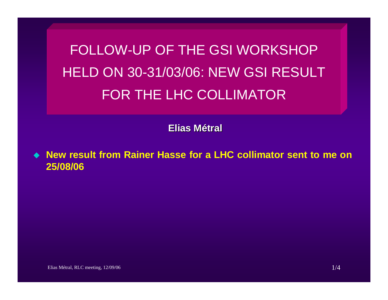FOLLOW-UP OF THE GSI WORKSHOP HELD ON 30-31/03/06: NEW GSI RESULTFOR THE LHC COLLIMATOR

**Elias Métral**

 **New result from Rainer Hasse for a LHC collimator sent to me on 25/08/06**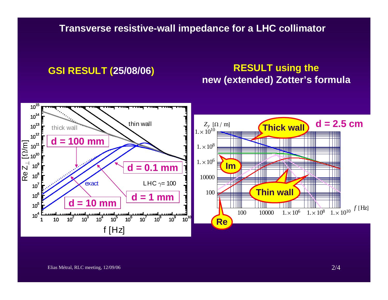**Transverse resistive-wall impedance for a LHC collimator**

## **GSI RESULT (25/08/06) RESULT using the new (extended) Zotter's formula**

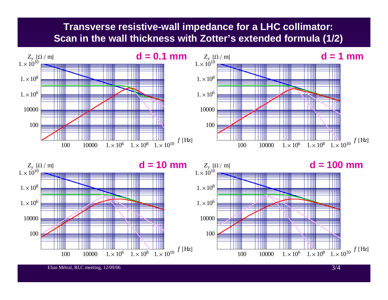## **Transverse resistive-wall impedance for a LHC collimator: Scan in the wall thickness with Zotter's extended formula (1/2)**